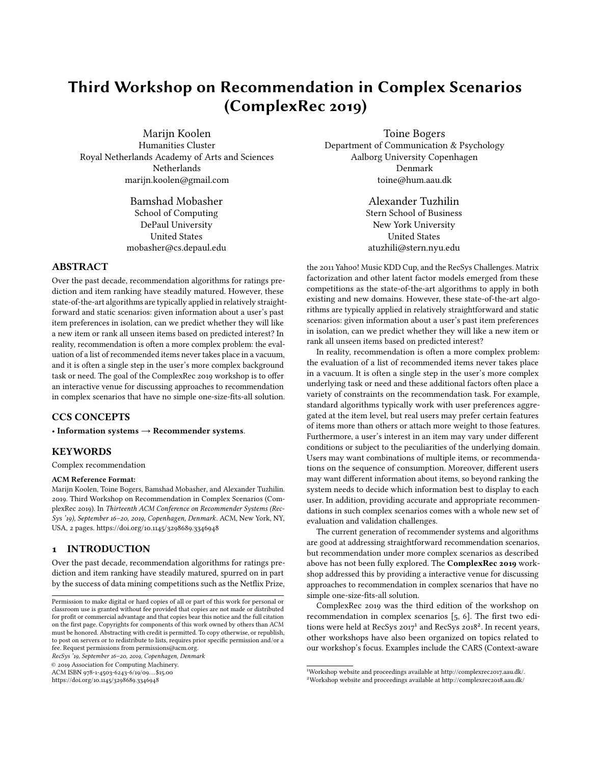# Third Workshop on Recommendation in Complex Scenarios (ComplexRec 2019)

 Marijn Koolen Humanities Cluster Royal Netherlands Academy of Arts and Sciences **Netherlands** [marijn.koolen@gmail.com](mailto:marijn.koolen@gmail.com)

> Bamshad Mobasher School of Computing DePaul University United States [mobasher@cs.depaul.edu](mailto:mobasher@cs.depaul.edu)

#### ABSTRACT

 Over the past decade, recommendation algorithms for ratings pre- diction and item ranking have steadily matured. However, these state-of-the-art algorithms are typically applied in relatively straight- forward and static scenarios: given information about a user's past item preferences in isolation, can we predict whether they will like a new item or rank all unseen items based on predicted interest? In reality, recommendation is often a more complex problem: the eval- uation of a list of recommended items never takes place in a vacuum, and it is often a single step in the user's more complex background task or need. The goal of the ComplexRec 2019 workshop is to ofer an interactive venue for discussing approaches to recommendation in complex scenarios that have no simple one-size-fts-all solution.

#### CCS CONCEPTS

 $\cdot$  Information systems  $\rightarrow$  Recommender systems.

# **KEYWORDS**

Complex recommendation

#### ACM Reference Format:

 Marijn Koolen, Toine Bogers, Bamshad Mobasher, and Alexander Tuzhilin. 2019. Third Workshop on Recommendation in Complex Scenarios (Com- plexRec 2019). In Thirteenth ACM Conference on Recommender Systems (Rec- Sys '19), September 16–20, 2019, Copenhagen, Denmark. ACM, New York, NY, USA, [2](#page-1-0) pages. <https://doi.org/10.1145/3298689.3346948>

# 1 INTRODUCTION

 Over the past decade, recommendation algorithms for ratings pre- diction and item ranking have steadily matured, spurred on in part by the success of data mining competitions such as the Netfix Prize,

RecSys '19, September 16–20, 2019, Copenhagen, Denmark

© 2019 Association for Computing Machinery.

ACM ISBN 978-1-4503-6243-6/19/09. . . \$15.00

<https://doi.org/10.1145/3298689.3346948>

 Toine Bogers Aalborg University Copenhagen Department of Communication & Psychology Denmark [toine@hum.aau.dk](mailto:toine@hum.aau.dk)

> Alexander Tuzhilin Stern School of Business New York University United States [atuzhili@stern.nyu.edu](mailto:atuzhili@stern.nyu.edu)

 the 2011 Yahoo! Music KDD Cup, and the RecSys Challenges. Matrix factorization and other latent factor models emerged from these competitions as the state-of-the-art algorithms to apply in both existing and new domains. However, these state-of-the-art algo- rithms are typically applied in relatively straightforward and static scenarios: given information about a user's past item preferences in isolation, can we predict whether they will like a new item or rank all unseen items based on predicted interest?

 In reality, recommendation is often a more complex problem: the evaluation of a list of recommended items never takes place in a vacuum. It is often a single step in the user's more complex underlying task or need and these additional factors often place a variety of constraints on the recommendation task. For example, standard algorithms typically work with user preferences aggre- gated at the item level, but real users may prefer certain features of items more than others or attach more weight to those features. Furthermore, a user's interest in an item may vary under diferent conditions or subject to the peculiarities of the underlying domain. Users may want combinations of multiple items, or recommenda- tions on the sequence of consumption. Moreover, diferent users may want diferent information about items, so beyond ranking the system needs to decide which information best to display to each user. In addition, providing accurate and appropriate recommen- dations in such complex scenarios comes with a whole new set of evaluation and validation challenges.

 The current generation of recommender systems and algorithms are good at addressing straightforward recommendation scenarios, but recommendation under more complex scenarios as described above has not been fully explored. The ComplexRec 2019 work- shop addressed this by providing a interactive venue for discussing approaches to recommendation in complex scenarios that have no simple one-size-fts-all solution.

 ComplexRec 2019 was the third edition of the workshop on recommendation in complex scenarios [\[5,](#page-1-1) [6\]](#page-1-2). The frst two edi-tions were held at RecSys 20[1](#page-0-0)7<sup>1</sup> and RecSys 2018<sup>2</sup>. In recent years, other workshops have also been organized on topics related to our workshop's focus. Examples include the CARS (Context-aware

 Permission to make digital or hard copies of all or part of this work for personal or classroom use is granted without fee provided that copies are not made or distributed for proft or commercial advantage and that copies bear this notice and the full citation on the frst page. Copyrights for components of this work owned by others than ACM must be honored. Abstracting with credit is permitted. To copy otherwise, or republish, to post on servers or to redistribute to lists, requires prior specifc permission and/or a fee. Request permissions from [permissions@acm.org](mailto:permissions@acm.org).

<span id="page-0-0"></span><sup>&</sup>lt;sup>1</sup>Workshop Workshop website and proceedings available at [http://complexrec2017.aau.dk/.](http://complexrec2017.aau.dk/) 2Workshop website and proceedings available at <http://complexrec2018.aau.dk/>

<span id="page-0-1"></span>